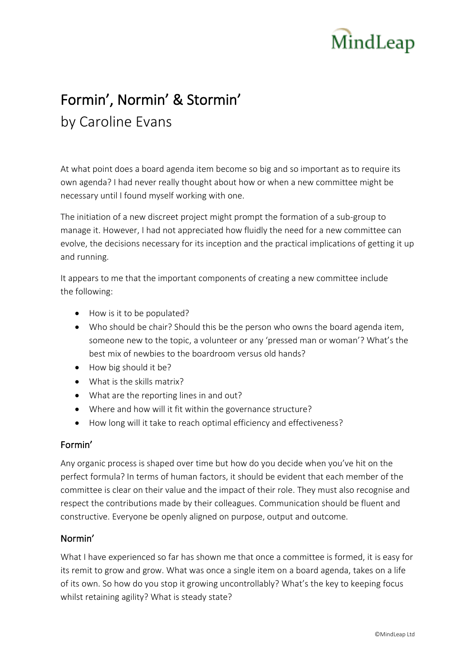# MindLeap

## Formin', Normin' & Stormin' by Caroline Evans

At what point does a board agenda item become so big and so important as to require its own agenda? I had never really thought about how or when a new committee might be necessary until I found myself working with one.

The initiation of a new discreet project might prompt the formation of a sub-group to manage it. However, I had not appreciated how fluidly the need for a new committee can evolve, the decisions necessary for its inception and the practical implications of getting it up and running.

It appears to me that the important components of creating a new committee include the following:

- How is it to be populated?
- Who should be chair? Should this be the person who owns the board agenda item, someone new to the topic, a volunteer or any 'pressed man or woman'? What's the best mix of newbies to the boardroom versus old hands?
- How big should it be?
- What is the skills matrix?
- What are the reporting lines in and out?
- Where and how will it fit within the governance structure?
- How long will it take to reach optimal efficiency and effectiveness?

#### Formin'

Any organic process is shaped over time but how do you decide when you've hit on the perfect formula? In terms of human factors, it should be evident that each member of the committee is clear on their value and the impact of their role. They must also recognise and respect the contributions made by their colleagues. Communication should be fluent and constructive. Everyone be openly aligned on purpose, output and outcome.

#### Normin'

What I have experienced so far has shown me that once a committee is formed, it is easy for its remit to grow and grow. What was once a single item on a board agenda, takes on a life of its own. So how do you stop it growing uncontrollably? What's the key to keeping focus whilst retaining agility? What is steady state?